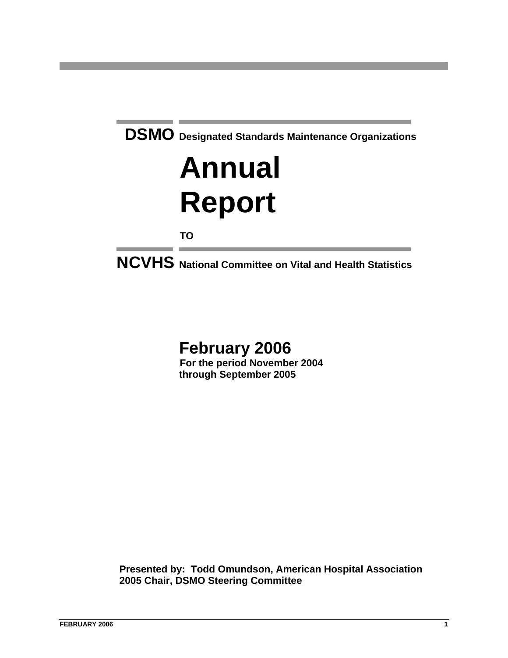

# **February 2006**

**For the period November 2004 through September 2005**

 **Presented by: Todd Omundson, American Hospital Association 2005 Chair, DSMO Steering Committee**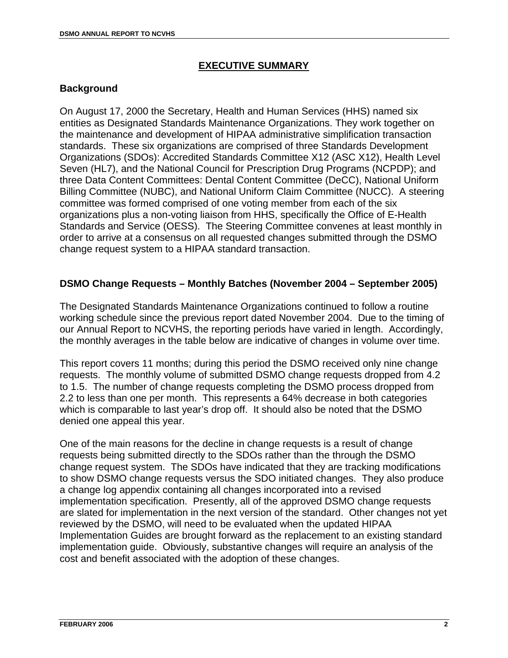#### **EXECUTIVE SUMMARY**

#### **Background**

On August 17, 2000 the Secretary, Health and Human Services (HHS) named six entities as Designated Standards Maintenance Organizations. They work together on the maintenance and development of HIPAA administrative simplification transaction standards. These six organizations are comprised of three Standards Development Organizations (SDOs): Accredited Standards Committee X12 (ASC X12), Health Level Seven (HL7), and the National Council for Prescription Drug Programs (NCPDP); and three Data Content Committees: Dental Content Committee (DeCC), National Uniform Billing Committee (NUBC), and National Uniform Claim Committee (NUCC). A steering committee was formed comprised of one voting member from each of the six organizations plus a non-voting liaison from HHS, specifically the Office of E-Health Standards and Service (OESS). The Steering Committee convenes at least monthly in order to arrive at a consensus on all requested changes submitted through the DSMO change request system to a HIPAA standard transaction.

#### **DSMO Change Requests – Monthly Batches (November 2004 – September 2005)**

The Designated Standards Maintenance Organizations continued to follow a routine working schedule since the previous report dated November 2004. Due to the timing of our Annual Report to NCVHS, the reporting periods have varied in length. Accordingly, the monthly averages in the table below are indicative of changes in volume over time.

This report covers 11 months; during this period the DSMO received only nine change requests. The monthly volume of submitted DSMO change requests dropped from 4.2 to 1.5. The number of change requests completing the DSMO process dropped from 2.2 to less than one per month. This represents a 64% decrease in both categories which is comparable to last year's drop off. It should also be noted that the DSMO denied one appeal this year.

One of the main reasons for the decline in change requests is a result of change requests being submitted directly to the SDOs rather than the through the DSMO change request system. The SDOs have indicated that they are tracking modifications to show DSMO change requests versus the SDO initiated changes. They also produce a change log appendix containing all changes incorporated into a revised implementation specification. Presently, all of the approved DSMO change requests are slated for implementation in the next version of the standard. Other changes not yet reviewed by the DSMO, will need to be evaluated when the updated HIPAA Implementation Guides are brought forward as the replacement to an existing standard implementation guide. Obviously, substantive changes will require an analysis of the cost and benefit associated with the adoption of these changes.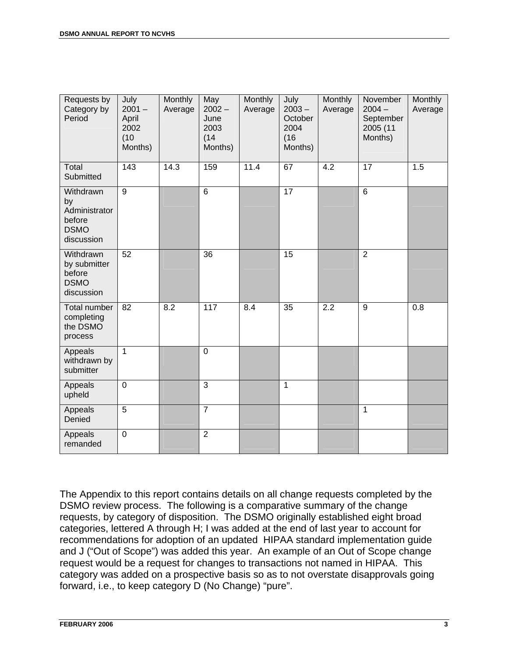| Requests by<br>Category by<br>Period                                    | July<br>$2001 -$<br>April<br>2002<br>(10)<br>Months) | Monthly<br>Average | May<br>$2002 -$<br>June<br>2003<br>(14)<br>Months) | Monthly<br>Average | July<br>$2003 -$<br>October<br>2004<br>(16)<br>Months) | Monthly<br>Average | November<br>$2004 -$<br>September<br>2005 (11<br>Months) | Monthly<br>Average |
|-------------------------------------------------------------------------|------------------------------------------------------|--------------------|----------------------------------------------------|--------------------|--------------------------------------------------------|--------------------|----------------------------------------------------------|--------------------|
| Total<br>Submitted                                                      | 143                                                  | 14.3               | 159                                                | 11.4               | 67                                                     | 4.2                | 17                                                       | 1.5                |
| Withdrawn<br>by<br>Administrator<br>before<br><b>DSMO</b><br>discussion | 9                                                    |                    | 6                                                  |                    | 17                                                     |                    | $6\phantom{1}$                                           |                    |
| Withdrawn<br>by submitter<br>before<br><b>DSMO</b><br>discussion        | 52                                                   |                    | 36                                                 |                    | 15                                                     |                    | $\overline{2}$                                           |                    |
| Total number<br>completing<br>the DSMO<br>process                       | 82                                                   | 8.2                | 117                                                | 8.4                | 35                                                     | 2.2                | 9                                                        | 0.8                |
| Appeals<br>withdrawn by<br>submitter                                    | $\overline{1}$                                       |                    | $\mathbf 0$                                        |                    |                                                        |                    |                                                          |                    |
| Appeals<br>upheld                                                       | $\mathbf 0$                                          |                    | 3                                                  |                    | 1                                                      |                    |                                                          |                    |
| Appeals<br>Denied                                                       | $\overline{5}$                                       |                    | $\overline{7}$                                     |                    |                                                        |                    | $\mathbf{1}$                                             |                    |
| Appeals<br>remanded                                                     | $\mathbf 0$                                          |                    | $\overline{2}$                                     |                    |                                                        |                    |                                                          |                    |

The Appendix to this report contains details on all change requests completed by the DSMO review process. The following is a comparative summary of the change requests, by category of disposition. The DSMO originally established eight broad categories, lettered A through H; I was added at the end of last year to account for recommendations for adoption of an updated HIPAA standard implementation guide and J ("Out of Scope") was added this year. An example of an Out of Scope change request would be a request for changes to transactions not named in HIPAA. This category was added on a prospective basis so as to not overstate disapprovals going forward, i.e., to keep category D (No Change) "pure".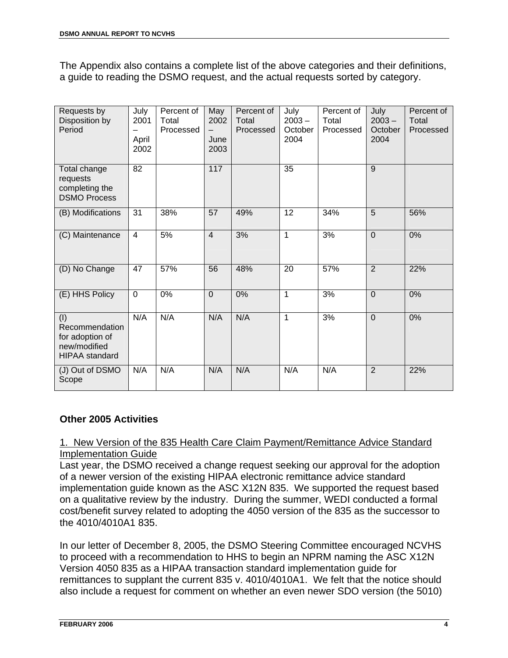The Appendix also contains a complete list of the above categories and their definitions, a guide to reading the DSMO request, and the actual requests sorted by category.

| Requests by<br>Disposition by<br>Period                                           | July<br>2001<br>April<br>2002 | Percent of<br>Total<br>Processed | May<br>2002<br>June<br>2003 | Percent of<br>Total<br>Processed | July<br>$2003 -$<br>October<br>2004 | Percent of<br>Total<br>Processed | July<br>$2003 -$<br>October<br>2004 | Percent of<br>Total<br>Processed |
|-----------------------------------------------------------------------------------|-------------------------------|----------------------------------|-----------------------------|----------------------------------|-------------------------------------|----------------------------------|-------------------------------------|----------------------------------|
| Total change<br>requests<br>completing the<br><b>DSMO Process</b>                 | $\overline{82}$               |                                  | $\overline{117}$            |                                  | $\overline{35}$                     |                                  | $\overline{9}$                      |                                  |
| (B) Modifications                                                                 | 31                            | 38%                              | 57                          | 49%                              | 12                                  | 34%                              | 5                                   | 56%                              |
| (C) Maintenance                                                                   | $\overline{4}$                | 5%                               | $\overline{4}$              | 3%                               | 1                                   | 3%                               | $\overline{0}$                      | 0%                               |
| (D) No Change                                                                     | 47                            | 57%                              | 56                          | 48%                              | 20                                  | 57%                              | $\overline{2}$                      | 22%                              |
| (E) HHS Policy                                                                    | $\mathbf 0$                   | 0%                               | $\overline{0}$              | 0%                               | 1                                   | 3%                               | $\overline{0}$                      | 0%                               |
| (1)<br>Recommendation<br>for adoption of<br>new/modified<br><b>HIPAA</b> standard | N/A                           | N/A                              | N/A                         | N/A                              | 1                                   | 3%                               | $\overline{0}$                      | 0%                               |
| (J) Out of DSMO<br>Scope                                                          | N/A                           | N/A                              | N/A                         | N/A                              | N/A                                 | N/A                              | $\overline{2}$                      | 22%                              |

#### **Other 2005 Activities**

#### 1. New Version of the 835 Health Care Claim Payment/Remittance Advice Standard Implementation Guide

Last year, the DSMO received a change request seeking our approval for the adoption of a newer version of the existing HIPAA electronic remittance advice standard implementation guide known as the ASC X12N 835. We supported the request based on a qualitative review by the industry. During the summer, WEDI conducted a formal cost/benefit survey related to adopting the 4050 version of the 835 as the successor to the 4010/4010A1 835.

In our letter of December 8, 2005, the DSMO Steering Committee encouraged NCVHS to proceed with a recommendation to HHS to begin an NPRM naming the ASC X12N Version 4050 835 as a HIPAA transaction standard implementation guide for remittances to supplant the current 835 v. 4010/4010A1. We felt that the notice should also include a request for comment on whether an even newer SDO version (the 5010)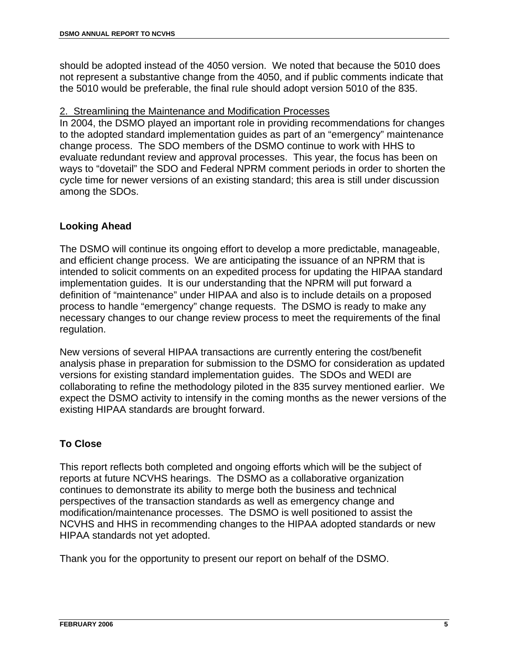should be adopted instead of the 4050 version. We noted that because the 5010 does not represent a substantive change from the 4050, and if public comments indicate that the 5010 would be preferable, the final rule should adopt version 5010 of the 835.

#### 2. Streamlining the Maintenance and Modification Processes

In 2004, the DSMO played an important role in providing recommendations for changes to the adopted standard implementation guides as part of an "emergency" maintenance change process. The SDO members of the DSMO continue to work with HHS to evaluate redundant review and approval processes. This year, the focus has been on ways to "dovetail" the SDO and Federal NPRM comment periods in order to shorten the cycle time for newer versions of an existing standard; this area is still under discussion among the SDOs.

#### **Looking Ahead**

The DSMO will continue its ongoing effort to develop a more predictable, manageable, and efficient change process. We are anticipating the issuance of an NPRM that is intended to solicit comments on an expedited process for updating the HIPAA standard implementation guides. It is our understanding that the NPRM will put forward a definition of "maintenance" under HIPAA and also is to include details on a proposed process to handle "emergency" change requests. The DSMO is ready to make any necessary changes to our change review process to meet the requirements of the final regulation.

New versions of several HIPAA transactions are currently entering the cost/benefit analysis phase in preparation for submission to the DSMO for consideration as updated versions for existing standard implementation guides. The SDOs and WEDI are collaborating to refine the methodology piloted in the 835 survey mentioned earlier. We expect the DSMO activity to intensify in the coming months as the newer versions of the existing HIPAA standards are brought forward.

## **To Close**

This report reflects both completed and ongoing efforts which will be the subject of reports at future NCVHS hearings. The DSMO as a collaborative organization continues to demonstrate its ability to merge both the business and technical perspectives of the transaction standards as well as emergency change and modification/maintenance processes. The DSMO is well positioned to assist the NCVHS and HHS in recommending changes to the HIPAA adopted standards or new HIPAA standards not yet adopted.

Thank you for the opportunity to present our report on behalf of the DSMO.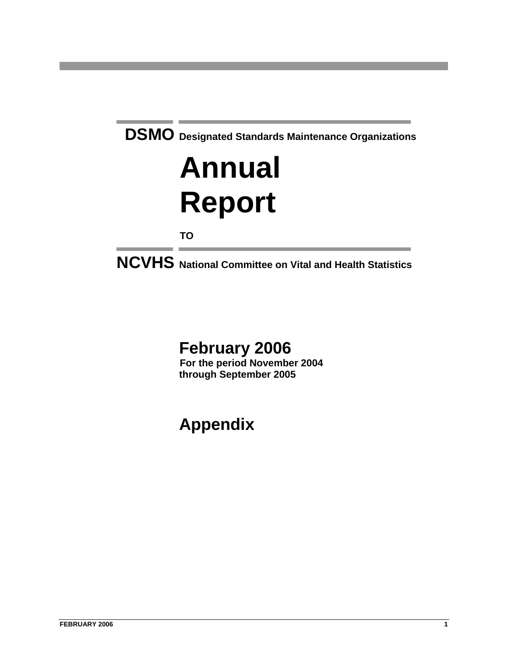# **Annual Report**

**TO**

**NCVHS National Committee on Vital and Health Statistics**

# **February 2006**

**For the period November 2004 through September 2005** 

# **Appendix**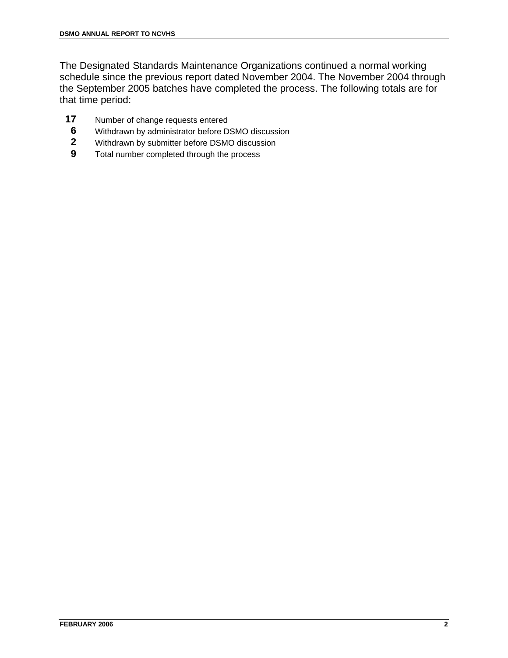The Designated Standards Maintenance Organizations continued a normal working schedule since the previous report dated November 2004. The November 2004 through the September 2005 batches have completed the process. The following totals are for that time period:

- **17** Number of change requests entered
- **6** Withdrawn by administrator before DSMO discussion
- **2** Withdrawn by submitter before DSMO discussion
- **9** Total number completed through the process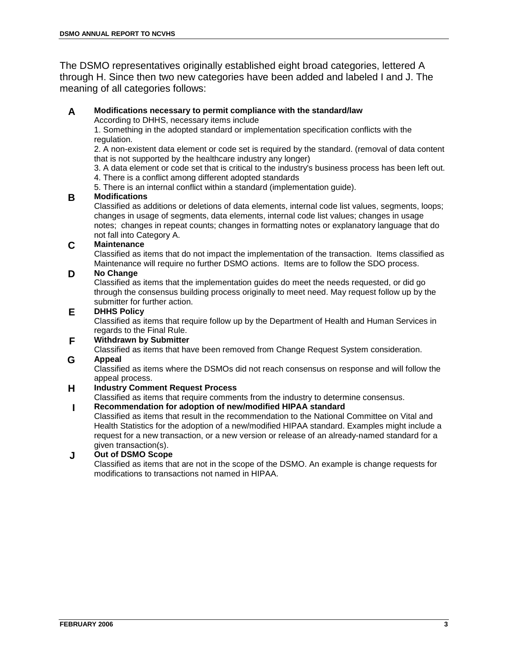The DSMO representatives originally established eight broad categories, lettered A through H. Since then two new categories have been added and labeled I and J. The meaning of all categories follows:

#### **A Modifications necessary to permit compliance with the standard/law**

According to DHHS, necessary items include

1. Something in the adopted standard or implementation specification conflicts with the regulation.

2. A non-existent data element or code set is required by the standard. (removal of data content that is not supported by the healthcare industry any longer)

3. A data element or code set that is critical to the industry's business process has been left out.

4. There is a conflict among different adopted standards

5. There is an internal conflict within a standard (implementation guide).

#### **B Modifications**

Classified as additions or deletions of data elements, internal code list values, segments, loops; changes in usage of segments, data elements, internal code list values; changes in usage notes; changes in repeat counts; changes in formatting notes or explanatory language that do not fall into Category A.

#### **C Maintenance**

Classified as items that do not impact the implementation of the transaction. Items classified as Maintenance will require no further DSMO actions. Items are to follow the SDO process.

#### **D No Change**

Classified as items that the implementation guides do meet the needs requested, or did go through the consensus building process originally to meet need. May request follow up by the submitter for further action.

#### **E DHHS Policy**

Classified as items that require follow up by the Department of Health and Human Services in regards to the Final Rule.

#### **F Withdrawn by Submitter**

Classified as items that have been removed from Change Request System consideration.

#### **G Appeal**

Classified as items where the DSMOs did not reach consensus on response and will follow the appeal process.

#### **H Industry Comment Request Process**

Classified as items that require comments from the industry to determine consensus.

#### **I Recommendation for adoption of new/modified HIPAA standard**

Classified as items that result in the recommendation to the National Committee on Vital and Health Statistics for the adoption of a new/modified HIPAA standard. Examples might include a request for a new transaction, or a new version or release of an already-named standard for a given transaction(s).

#### **J Out of DSMO Scope**

Classified as items that are not in the scope of the DSMO. An example is change requests for modifications to transactions not named in HIPAA.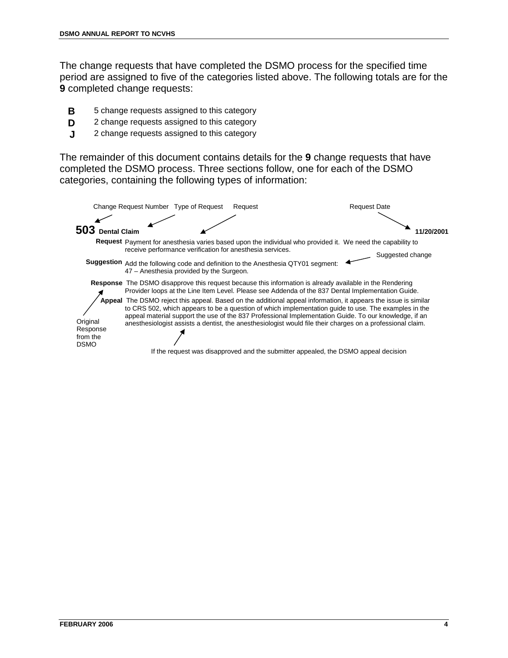The change requests that have completed the DSMO process for the specified time period are assigned to five of the categories listed above. The following totals are for the **9** completed change requests:

- **B** 5 change requests assigned to this category
- **D** 2 change requests assigned to this category
- **J** 2 change requests assigned to this category

The remainder of this document contains details for the **9** change requests that have completed the DSMO process. Three sections follow, one for each of the DSMO categories, containing the following types of information:

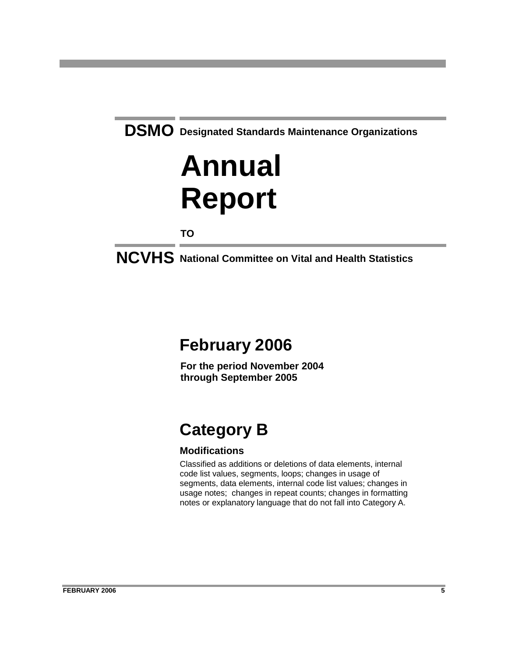# **Annual Report**

**TO**

**NCVHS National Committee on Vital and Health Statistics**

## **February 2006**

**For the period November 2004 through September 2005**

# **Category B**

## **Modifications**

Classified as additions or deletions of data elements, internal code list values, segments, loops; changes in usage of segments, data elements, internal code list values; changes in usage notes; changes in repeat counts; changes in formatting notes or explanatory language that do not fall into Category A.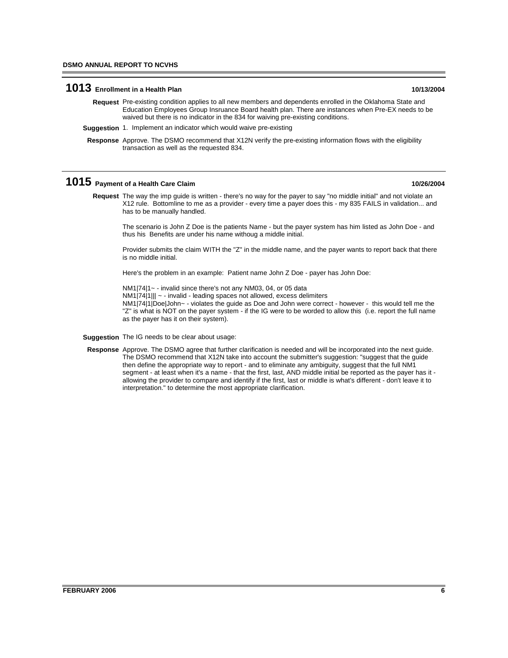### **1013 Enrollment in a Health Plan 10/13/2004**

- Request Pre-existing condition applies to all new members and dependents enrolled in the Oklahoma State and Education Employees Group Insruance Board health plan. There are instances when Pre-EX needs to be waived but there is no indicator in the 834 for waiving pre-existing conditions.
- **Suggestion** 1. Implement an indicator which would waive pre-existing
- Response Approve. The DSMO recommend that X12N verify the pre-existing information flows with the eligibility transaction as well as the requested 834.

#### **1015 Payment of a Health Care Claim 10/26/2004**

Request The way the imp guide is written - there's no way for the payer to say "no middle initial" and not violate an X12 rule. Bottomline to me as a provider - every time a payer does this - my 835 FAILS in validation... and has to be manually handled.

The scenario is John Z Doe is the patients Name - but the payer system has him listed as John Doe - and thus his Benefits are under his name withoug a middle initial.

Provider submits the claim WITH the "Z" in the middle name, and the payer wants to report back that there is no middle initial.

Here's the problem in an example: Patient name John Z Doe - payer has John Doe:

NM1|74|1~ - invalid since there's not any NM03, 04, or 05 data

NM1|74|1||| ~ - invalid - leading spaces not allowed, excess delimiters

NM1|74|1|Doe|John~ - violates the guide as Doe and John were correct - however - this would tell me the "Z" is what is NOT on the payer system - if the IG were to be worded to allow this (i.e. report the full name as the payer has it on their system).

- **Suggestion** The IG needs to be clear about usage:
- Response Approve. The DSMO agree that further clarification is needed and will be incorporated into the next guide. The DSMO recommend that X12N take into account the submitter's suggestion: "suggest that the guide then define the appropriate way to report - and to eliminate any ambiguity, suggest that the full NM1 segment - at least when it's a name - that the first, last, AND middle initial be reported as the payer has it allowing the provider to compare and identify if the first, last or middle is what's different - don't leave it to interpretation." to determine the most appropriate clarification.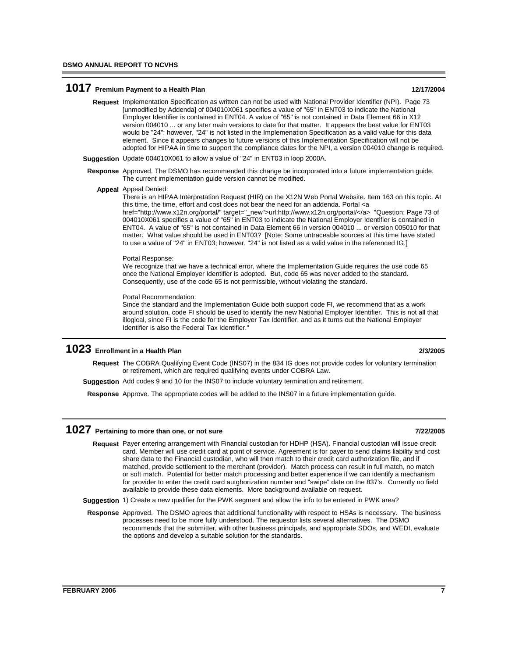#### **1017** Premium Payment to a Health Plan 12/17/2004

- Request Implementation Specification as written can not be used with National Provider Identifier (NPI). Page 73 [unmodified by Addenda] of 004010X061 specifies a value of "65" in ENT03 to indicate the National Employer Identifier is contained in ENT04. A value of "65" is not contained in Data Element 66 in X12 version 004010 ... or any later main versions to date for that matter. It appears the best value for ENT03 would be "24"; however, "24" is not listed in the Implemenation Specification as a valid value for this data element. Since it appears changes to future versions of this Implementation Specification will not be adopted for HIPAA in time to support the compliance dates for the NPI, a version 004010 change is required.
- **Suggestion** Update 004010X061 to allow a value of "24" in ENT03 in loop 2000A.
- Response Approved. The DSMO has recommended this change be incorporated into a future implementation guide. The current implementation guide version cannot be modified.

Appeal Denied: **Appeal**

There is an HIPAA Interpretation Request (HIR) on the X12N Web Portal Website. Item 163 on this topic. At this time, the time, effort and cost does not bear the need for an addenda. Portal <a href="http://www.x12n.org/portal/" target="\_new">url:http://www.x12n.org/portal/</a> "Question: Page 73 of 004010X061 specifies a value of "65" in ENT03 to indicate the National Employer Identifier is contained in ENT04. A value of "65" is not contained in Data Element 66 in version 004010 ... or version 005010 for that matter. What value should be used in ENT03? [Note: Some untraceable sources at this time have stated to use a value of "24" in ENT03; however, "24" is not listed as a valid value in the referenced IG.]

#### Portal Response:

We recognize that we have a technical error, where the Implementation Guide requires the use code 65 once the National Employer Identifier is adopted. But, code 65 was never added to the standard. Consequently, use of the code 65 is not permissible, without violating the standard.

#### Portal Recommendation:

Since the standard and the Implementation Guide both support code FI, we recommend that as a work around solution, code FI should be used to identify the new National Employer Identifier. This is not all that illogical, since FI is the code for the Employer Tax Identifier, and as it turns out the National Employer Identifier is also the Federal Tax Identifier."

### **1023 Enrollment in a Health Plan 2/3/2005**

Request The COBRA Qualifying Event Code (INS07) in the 834 IG does not provide codes for voluntary termination or retirement, which are required qualifying events under COBRA Law.

**Suggestion** Add codes 9 and 10 for the INS07 to include voluntary termination and retirement.

**Response** Approve. The appropriate codes will be added to the INS07 in a future implementation guide.

#### **1027** Pertaining to more than one, or not sure **1027** Pertaining to more than one, or not sure

- Request Payer entering arrangement with Financial custodian for HDHP (HSA). Financial custodian will issue credit card. Member will use credit card at point of service. Agreement is for payer to send claims liability and cost share data to the Financial custodian, who will then match to their credit card authorization file, and if matched, provide settlement to the merchant (provider). Match process can result in full match, no match or soft match. Potential for better match processing and better experience if we can identify a mechanism for provider to enter the credit card autghorization number and "swipe" date on the 837's. Currently no field available to provide these data elements. More background available on request.
- **Suggestion** 1) Create a new qualifier for the PWK segment and allow the info to be entered in PWK area?
- Response Approved. The DSMO agrees that additional functionality with respect to HSAs is necessary. The business processes need to be more fully understood. The requestor lists several alternatives. The DSMO recommends that the submitter, with other business principals, and appropriate SDOs, and WEDI, evaluate the options and develop a suitable solution for the standards.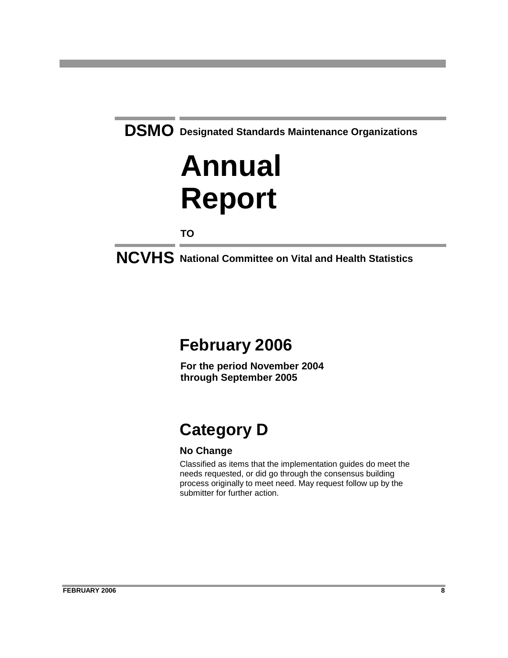# **Annual Report**

**TO**

**NCVHS National Committee on Vital and Health Statistics**

## **February 2006**

**For the period November 2004 through September 2005**

# **Category D**

## **No Change**

Classified as items that the implementation guides do meet the needs requested, or did go through the consensus building process originally to meet need. May request follow up by the submitter for further action.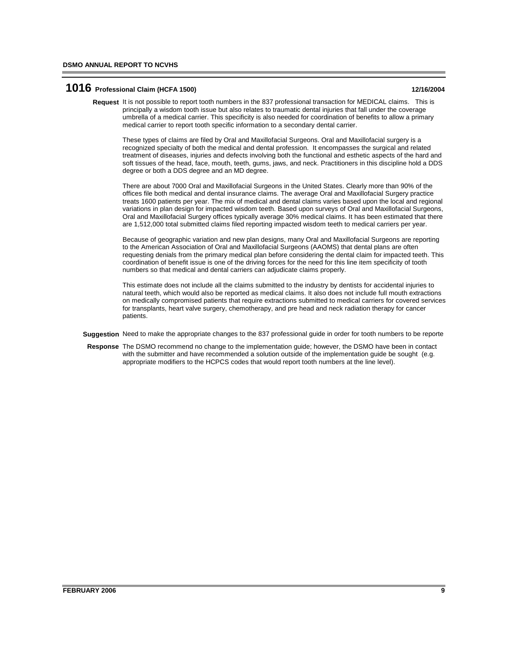#### **1016 Professional Claim (HCFA 1500) 12/16/2004**

Request It is not possible to report tooth numbers in the 837 professional transaction for MEDICAL claims. This is principally a wisdom tooth issue but also relates to traumatic dental injuries that fall under the coverage umbrella of a medical carrier. This specificity is also needed for coordination of benefits to allow a primary medical carrier to report tooth specific information to a secondary dental carrier.

These types of claims are filed by Oral and Maxillofacial Surgeons. Oral and Maxillofacial surgery is a recognized specialty of both the medical and dental profession. It encompasses the surgical and related treatment of diseases, injuries and defects involving both the functional and esthetic aspects of the hard and soft tissues of the head, face, mouth, teeth, gums, jaws, and neck. Practitioners in this discipline hold a DDS degree or both a DDS degree and an MD degree.

There are about 7000 Oral and Maxillofacial Surgeons in the United States. Clearly more than 90% of the offices file both medical and dental insurance claims. The average Oral and Maxillofacial Surgery practice treats 1600 patients per year. The mix of medical and dental claims varies based upon the local and regional variations in plan design for impacted wisdom teeth. Based upon surveys of Oral and Maxillofacial Surgeons, Oral and Maxillofacial Surgery offices typically average 30% medical claims. It has been estimated that there are 1,512,000 total submitted claims filed reporting impacted wisdom teeth to medical carriers per year.

Because of geographic variation and new plan designs, many Oral and Maxillofacial Surgeons are reporting to the American Association of Oral and Maxillofacial Surgeons (AAOMS) that dental plans are often requesting denials from the primary medical plan before considering the dental claim for impacted teeth. This coordination of benefit issue is one of the driving forces for the need for this line item specificity of tooth numbers so that medical and dental carriers can adjudicate claims properly.

This estimate does not include all the claims submitted to the industry by dentists for accidental injuries to natural teeth, which would also be reported as medical claims. It also does not include full mouth extractions on medically compromised patients that require extractions submitted to medical carriers for covered services for transplants, heart valve surgery, chemotherapy, and pre head and neck radiation therapy for cancer patients.

**Suggestion** Need to make the appropriate changes to the 837 professional guide in order for tooth numbers to be reporte

Response The DSMO recommend no change to the implementation guide; however, the DSMO have been in contact with the submitter and have recommended a solution outside of the implementation guide be sought (e.g. appropriate modifiers to the HCPCS codes that would report tooth numbers at the line level).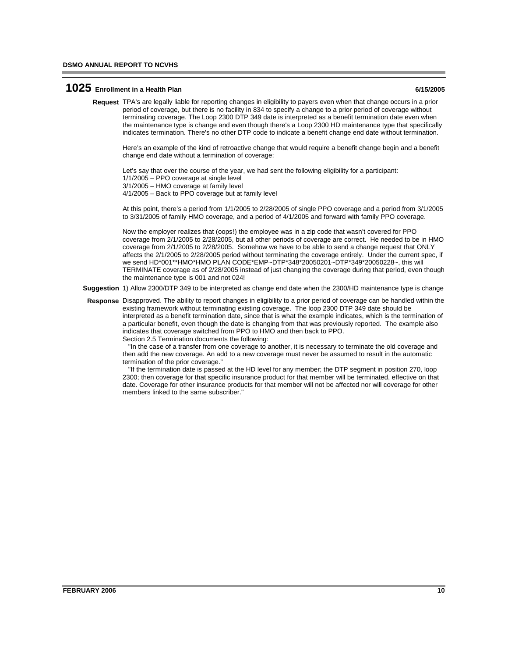#### **1025 Enrollment in a Health Plan 6/15/2005**

TPA's are legally liable for reporting changes in eligibility to payers even when that change occurs in a prior **Request** period of coverage, but there is no facility in 834 to specify a change to a prior period of coverage without terminating coverage. The Loop 2300 DTP 349 date is interpreted as a benefit termination date even when the maintenance type is change and even though there's a Loop 2300 HD maintenance type that specifically indicates termination. There's no other DTP code to indicate a benefit change end date without termination.

Here's an example of the kind of retroactive change that would require a benefit change begin and a benefit change end date without a termination of coverage:

Let's say that over the course of the year, we had sent the following eligibility for a participant: 1/1/2005 – PPO coverage at single level 3/1/2005 – HMO coverage at family level 4/1/2005 – Back to PPO coverage but at family level

At this point, there's a period from 1/1/2005 to 2/28/2005 of single PPO coverage and a period from 3/1/2005 to 3/31/2005 of family HMO coverage, and a period of 4/1/2005 and forward with family PPO coverage.

Now the employer realizes that (oops!) the employee was in a zip code that wasn't covered for PPO coverage from 2/1/2005 to 2/28/2005, but all other periods of coverage are correct. He needed to be in HMO coverage from 2/1/2005 to 2/28/2005. Somehow we have to be able to send a change request that ONLY affects the 2/1/2005 to 2/28/2005 period without terminating the coverage entirely. Under the current spec, if we send HD\*001\*\*HMO\*HMO PLAN CODE\*EMP~DTP\*348\*20050201~DTP\*349\*20050228~, this will TERMINATE coverage as of 2/28/2005 instead of just changing the coverage during that period, even though the maintenance type is 001 and not 024!

**Suggestion** 1) Allow 2300/DTP 349 to be interpreted as change end date when the 2300/HD maintenance type is change

Response Disapproved. The ability to report changes in eligibility to a prior period of coverage can be handled within the existing framework without terminating existing coverage. The loop 2300 DTP 349 date should be interpreted as a benefit termination date, since that is what the example indicates, which is the termination of a particular benefit, even though the date is changing from that was previously reported. The example also indicates that coverage switched from PPO to HMO and then back to PPO. Section 2.5 Termination documents the following:

 "In the case of a transfer from one coverage to another, it is necessary to terminate the old coverage and then add the new coverage. An add to a new coverage must never be assumed to result in the automatic termination of the prior coverage."

 "If the termination date is passed at the HD level for any member; the DTP segment in position 270, loop 2300; then coverage for that specific insurance product for that member will be terminated, effective on that date. Coverage for other insurance products for that member will not be affected nor will coverage for other members linked to the same subscriber."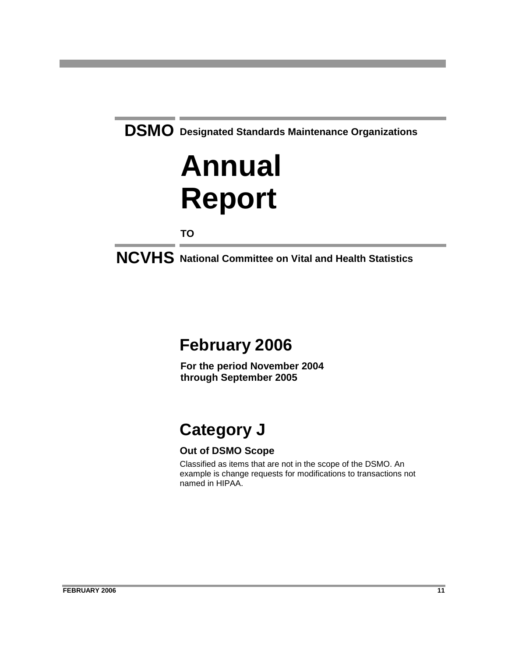# **Annual Report**

**TO**

**NCVHS National Committee on Vital and Health Statistics**

## **February 2006**

**For the period November 2004 through September 2005**

# **Category J**

## **Out of DSMO Scope**

Classified as items that are not in the scope of the DSMO. An example is change requests for modifications to transactions not named in HIPAA.